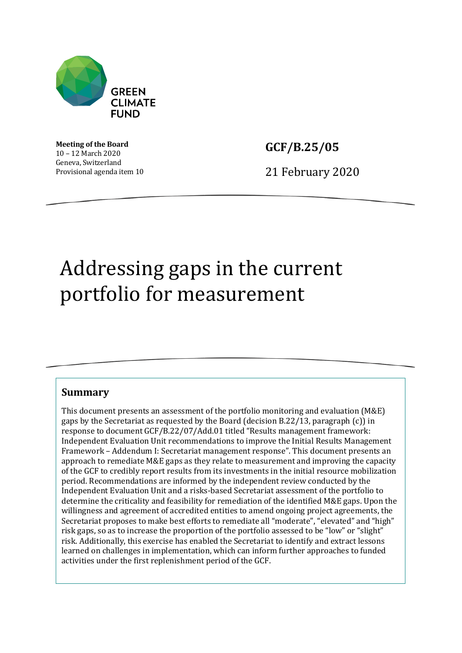

**Meeting of the Board** 10 – 12 March 2020 Geneva, Switzerland Provisional agenda item 10

**GCF/B.25/05**

21 February 2020

# Addressing gaps in the current portfolio for measurement

#### **Summary**

This document presents an assessment of the portfolio monitoring and evaluation (M&E) gaps by the Secretariat as requested by the Board (decision B.22/13, paragraph (c)) in response to document GCF/B.22/07/Add.01 titled "Results management framework: Independent Evaluation Unit recommendations to improve the Initial Results Management Framework – Addendum I: Secretariat management response". This document presents an approach to remediate M&E gaps as they relate to measurement and improving the capacity of the GCF to credibly report results from its investments in the initial resource mobilization period. Recommendations are informed by the independent review conducted by the Independent Evaluation Unit and a risks-based Secretariat assessment of the portfolio to determine the criticality and feasibility for remediation of the identified M&E gaps. Upon the willingness and agreement of accredited entities to amend ongoing project agreements, the Secretariat proposes to make best efforts to remediate all "moderate", "elevated" and "high" risk gaps, so as to increase the proportion of the portfolio assessed to be "low" or "slight" risk. Additionally, this exercise has enabled the Secretariat to identify and extract lessons learned on challenges in implementation, which can inform further approaches to funded activities under the first replenishment period of the GCF.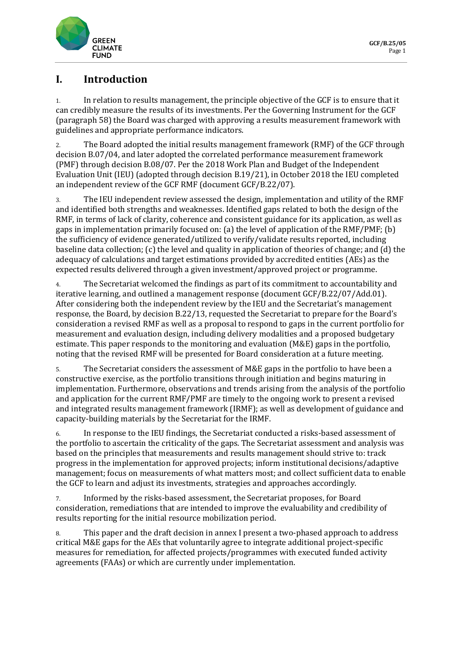

#### **I. Introduction**

1. In relation to results management, the principle objective of the GCF is to ensure that it can credibly measure the results of its investments. Per the Governing Instrument for the GCF (paragraph 58) the Board was charged with approving a results measurement framework with guidelines and appropriate performance indicators.

2. The Board adopted the initial results management framework (RMF) of the GCF through decision B.07/04, and later adopted the correlated performance measurement framework (PMF) through decision B.08/07. Per the 2018 Work Plan and Budget of the Independent Evaluation Unit (IEU) (adopted through decision B.19/21), in October 2018 the IEU completed an independent review of the GCF RMF (document GCF/B.22/07).

3. The IEU independent review assessed the design, implementation and utility of the RMF and identified both strengths and weaknesses. Identified gaps related to both the design of the RMF, in terms of lack of clarity, coherence and consistent guidance for its application, as well as gaps in implementation primarily focused on: (a) the level of application of the RMF/PMF; (b) the sufficiency of evidence generated/utilized to verify/validate results reported, including baseline data collection; (c) the level and quality in application of theories of change; and (d) the adequacy of calculations and target estimations provided by accredited entities (AEs) as the expected results delivered through a given investment/approved project or programme.

4. The Secretariat welcomed the findings as part of its commitment to accountability and iterative learning, and outlined a management response (document GCF/B.22/07/Add.01). After considering both the independent review by the IEU and the Secretariat's management response, the Board, by decision B.22/13, requested the Secretariat to prepare for the Board's consideration a revised RMF as well as a proposal to respond to gaps in the current portfolio for measurement and evaluation design, including delivery modalities and a proposed budgetary estimate. This paper responds to the monitoring and evaluation (M&E) gaps in the portfolio, noting that the revised RMF will be presented for Board consideration at a future meeting.

5. The Secretariat considers the assessment of M&E gaps in the portfolio to have been a constructive exercise, as the portfolio transitions through initiation and begins maturing in implementation. Furthermore, observations and trends arising from the analysis of the portfolio and application for the current RMF/PMF are timely to the ongoing work to present a revised and integrated results management framework (IRMF); as well as development of guidance and capacity-building materials by the Secretariat for the IRMF.

6. In response to the IEU findings, the Secretariat conducted a risks-based assessment of the portfolio to ascertain the criticality of the gaps. The Secretariat assessment and analysis was based on the principles that measurements and results management should strive to: track progress in the implementation for approved projects; inform institutional decisions/adaptive management; focus on measurements of what matters most; and collect sufficient data to enable the GCF to learn and adjust its investments, strategies and approaches accordingly.

7. Informed by the risks-based assessment, the Secretariat proposes, for Board consideration, remediations that are intended to improve the evaluability and credibility of results reporting for the initial resource mobilization period.

8. This paper and the draft decision in annex I present a two-phased approach to address critical M&E gaps for the AEs that voluntarily agree to integrate additional project-specific measures for remediation, for affected projects/programmes with executed funded activity agreements (FAAs) or which are currently under implementation.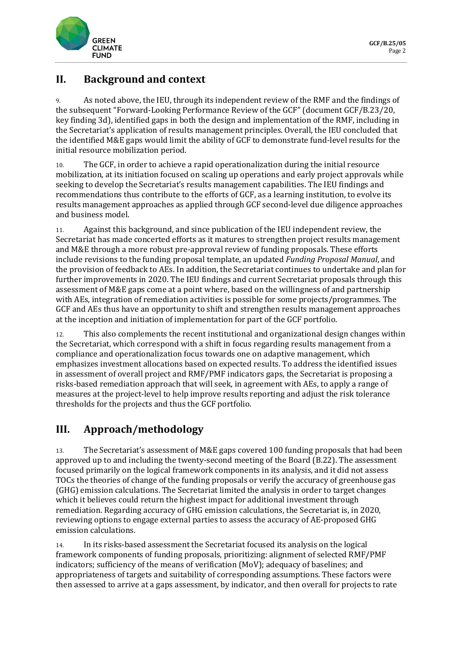

#### **II. Background and context**

9. As noted above, the IEU, through its independent review of the RMF and the findings of the subsequent "Forward-Looking Performance Review of the GCF" (document GCF/B.23/20, key finding 3d), identified gaps in both the design and implementation of the RMF, including in the Secretariat's application of results management principles. Overall, the IEU concluded that the identified M&E gaps would limit the ability of GCF to demonstrate fund-level results for the initial resource mobilization period.

10. The GCF, in order to achieve a rapid operationalization during the initial resource mobilization, at its initiation focused on scaling up operations and early project approvals while seeking to develop the Secretariat's results management capabilities. The IEU findings and recommendations thus contribute to the efforts of GCF, as a learning institution, to evolve its results management approaches as applied through GCF second-level due diligence approaches and business model.

11. Against this background, and since publication of the IEU independent review, the Secretariat has made concerted efforts as it matures to strengthen project results management and M&E through a more robust pre-approval review of funding proposals. These efforts include revisions to the funding proposal template, an updated *Funding Proposal Manual*, and the provision of feedback to AEs. In addition, the Secretariat continues to undertake and plan for further improvements in 2020. The IEU findings and current Secretariat proposals through this assessment of M&E gaps come at a point where, based on the willingness of and partnership with AEs, integration of remediation activities is possible for some projects/programmes. The GCF and AEs thus have an opportunity to shift and strengthen results management approaches at the inception and initiation of implementation for part of the GCF portfolio.

12. This also complements the recent institutional and organizational design changes within the Secretariat, which correspond with a shift in focus regarding results management from a compliance and operationalization focus towards one on adaptive management, which emphasizes investment allocations based on expected results. To address the identified issues in assessment of overall project and RMF/PMF indicators gaps, the Secretariat is proposing a risks-based remediation approach that will seek, in agreement with AEs, to apply a range of measures at the project-level to help improve results reporting and adjust the risk tolerance thresholds for the projects and thus the GCF portfolio.

#### **III. Approach/methodology**

13. The Secretariat's assessment of M&E gaps covered 100 funding proposals that had been approved up to and including the twenty-second meeting of the Board (B.22). The assessment focused primarily on the logical framework components in its analysis, and it did not assess TOCs the theories of change of the funding proposals or verify the accuracy of greenhouse gas (GHG) emission calculations. The Secretariat limited the analysis in order to target changes which it believes could return the highest impact for additional investment through remediation. Regarding accuracy of GHG emission calculations, the Secretariat is, in 2020, reviewing options to engage external parties to assess the accuracy of AE-proposed GHG emission calculations.

14. In its risks-based assessment the Secretariat focused its analysis on the logical framework components of funding proposals, prioritizing: alignment of selected RMF/PMF indicators; sufficiency of the means of verification (MoV); adequacy of baselines; and appropriateness of targets and suitability of corresponding assumptions. These factors were then assessed to arrive at a gaps assessment, by indicator, and then overall for projects to rate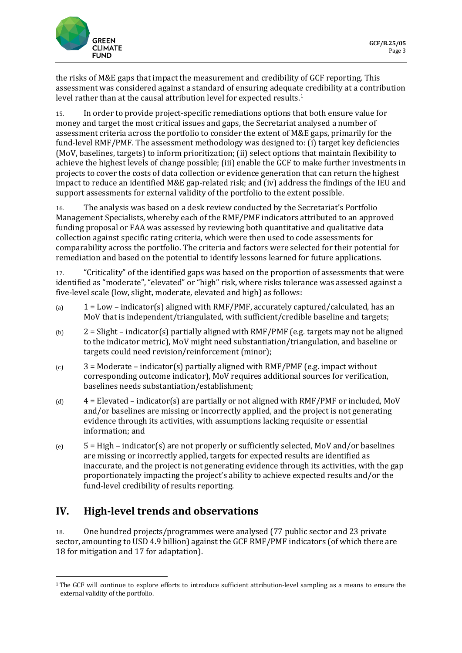

the risks of M&E gaps that impact the measurement and credibility of GCF reporting. This assessment was considered against a standard of ensuring adequate credibility at a contribution level rather than at the causal attribution level for expected results. [1](#page-3-0)

15. In order to provide project-specific remediations options that both ensure value for money and target the most critical issues and gaps, the Secretariat analysed a number of assessment criteria across the portfolio to consider the extent of M&E gaps, primarily for the fund-level RMF/PMF. The assessment methodology was designed to: (i) target key deficiencies (MoV, baselines, targets) to inform prioritization; (ii) select options that maintain flexibility to achieve the highest levels of change possible; (iii) enable the GCF to make further investments in projects to cover the costs of data collection or evidence generation that can return the highest impact to reduce an identified M&E gap-related risk; and (iv) address the findings of the IEU and support assessments for external validity of the portfolio to the extent possible.

16. The analysis was based on a desk review conducted by the Secretariat's Portfolio Management Specialists, whereby each of the RMF/PMF indicators attributed to an approved funding proposal or FAA was assessed by reviewing both quantitative and qualitative data collection against specific rating criteria, which were then used to code assessments for comparability across the portfolio. The criteria and factors were selected for their potential for remediation and based on the potential to identify lessons learned for future applications.

17. "Criticality" of the identified gaps was based on the proportion of assessments that were identified as "moderate", "elevated" or "high" risk, where risks tolerance was assessed against a five-level scale (low, slight, moderate, elevated and high) as follows:

- (a)  $1 = Low indicator(s)$  aligned with RMF/PMF, accurately captured/calculated, has an MoV that is independent/triangulated, with sufficient/credible baseline and targets;
- (b) 2 = Slight indicator(s) partially aligned with RMF/PMF (e.g. targets may not be aligned to the indicator metric), MoV might need substantiation/triangulation, and baseline or targets could need revision/reinforcement (minor);
- $(c)$  3 = Moderate indicator(s) partially aligned with RMF/PMF (e.g. impact without corresponding outcome indicator), MoV requires additional sources for verification, baselines needs substantiation/establishment;
- (d)  $4 =$  Elevated indicator(s) are partially or not aligned with RMF/PMF or included, MoV and/or baselines are missing or incorrectly applied, and the project is not generating evidence through its activities, with assumptions lacking requisite or essential information; and
- $(e)$  5 = High indicator(s) are not properly or sufficiently selected, MoV and/or baselines are missing or incorrectly applied, targets for expected results are identified as inaccurate, and the project is not generating evidence through its activities, with the gap proportionately impacting the project's ability to achieve expected results and/or the fund-level credibility of results reporting.

#### **IV. High-level trends and observations**

18. One hundred projects/programmes were analysed (77 public sector and 23 private sector, amounting to USD 4.9 billion) against the GCF RMF/PMF indicators (of which there are 18 for mitigation and 17 for adaptation).

<span id="page-3-0"></span><sup>&</sup>lt;sup>1</sup> The GCF will continue to explore efforts to introduce sufficient attribution-level sampling as a means to ensure the external validity of the portfolio.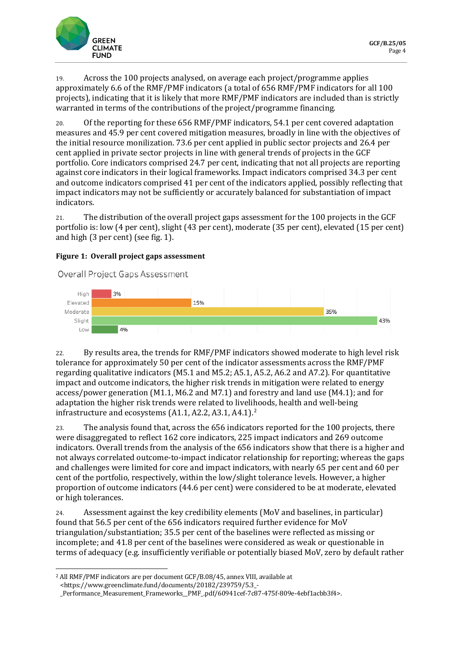

19. Across the 100 projects analysed, on average each project/programme applies approximately 6.6 of the RMF/PMF indicators (a total of 656 RMF/PMF indicators for all 100 projects), indicating that it is likely that more RMF/PMF indicators are included than is strictly warranted in terms of the contributions of the project/programme financing.

20. Of the reporting for these 656 RMF/PMF indicators, 54.1 per cent covered adaptation measures and 45.9 per cent covered mitigation measures, broadly in line with the objectives of the initial resource monilization. 73.6 per cent applied in public sector projects and 26.4 per cent applied in private sector projects in line with general trends of projects in the GCF portfolio. Core indicators comprised 24.7 per cent, indicating that not all projects are reporting against core indicators in their logical frameworks. Impact indicators comprised 34.3 per cent and outcome indicators comprised 41 per cent of the indicators applied, possibly reflecting that impact indicators may not be sufficiently or accurately balanced for substantiation of impact indicators.

21. The distribution of the overall project gaps assessment for the 100 projects in the GCF portfolio is: low (4 per cent), slight (43 per cent), moderate (35 per cent), elevated (15 per cent) and high (3 per cent) (see fig. 1).

#### **Figure 1: Overall project gaps assessment**

Overall Project Gaps Assessment



22. By results area, the trends for RMF/PMF indicators showed moderate to high level risk tolerance for approximately 50 per cent of the indicator assessments across the RMF/PMF regarding qualitative indicators (M5.1 and M5.2; A5.1, A5.2, A6.2 and A7.2). For quantitative impact and outcome indicators, the higher risk trends in mitigation were related to energy access/power generation (M1.1, M6.2 and M7.1) and forestry and land use (M4.1); and for adaptation the higher risk trends were related to livelihoods, health and well-being infrastructure and ecosystems  $(A1.1, A2.2, A3.1, A4.1).$  $(A1.1, A2.2, A3.1, A4.1).$  $(A1.1, A2.2, A3.1, A4.1).$ <sup>2</sup>

23. The analysis found that, across the 656 indicators reported for the 100 projects, there were disaggregated to reflect 162 core indicators, 225 impact indicators and 269 outcome indicators. Overall trends from the analysis of the 656 indicators show that there is a higher and not always correlated outcome-to-impact indicator relationship for reporting; whereas the gaps and challenges were limited for core and impact indicators, with nearly 65 per cent and 60 per cent of the portfolio, respectively, within the low/slight tolerance levels. However, a higher proportion of outcome indicators (44.6 per cent) were considered to be at moderate, elevated or high tolerances.

24. Assessment against the key credibility elements (MoV and baselines, in particular) found that 56.5 per cent of the 656 indicators required further evidence for MoV triangulation/substantiation; 35.5 per cent of the baselines were reflected as missing or incomplete; and 41.8 per cent of the baselines were considered as weak or questionable in terms of adequacy (e.g. insufficiently verifiable or potentially biased MoV, zero by default rather

<span id="page-4-0"></span><sup>2</sup> All RMF/PMF indicators are per document GCF/B.08/45, annex VIII, available at <https://www.greenclimate.fund/documents/20182/239759/5.3\_-

\_Performance\_Measurement\_Frameworks\_\_PMF\_.pdf/60941cef-7c87-475f-809e-4ebf1acbb3f4>.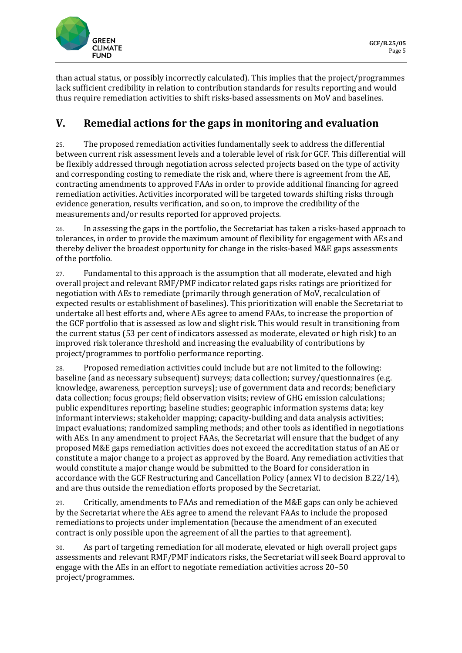

than actual status, or possibly incorrectly calculated). This implies that the project/programmes lack sufficient credibility in relation to contribution standards for results reporting and would thus require remediation activities to shift risks-based assessments on MoV and baselines.

## **V. Remedial actions for the gaps in monitoring and evaluation**

25. The proposed remediation activities fundamentally seek to address the differential between current risk assessment levels and a tolerable level of risk for GCF. This differential will be flexibly addressed through negotiation across selected projects based on the type of activity and corresponding costing to remediate the risk and, where there is agreement from the AE, contracting amendments to approved FAAs in order to provide additional financing for agreed remediation activities. Activities incorporated will be targeted towards shifting risks through evidence generation, results verification, and so on, to improve the credibility of the measurements and/or results reported for approved projects.

26. In assessing the gaps in the portfolio, the Secretariat has taken a risks-based approach to tolerances, in order to provide the maximum amount of flexibility for engagement with AEs and thereby deliver the broadest opportunity for change in the risks-based M&E gaps assessments of the portfolio.

27. Fundamental to this approach is the assumption that all moderate, elevated and high overall project and relevant RMF/PMF indicator related gaps risks ratings are prioritized for negotiation with AEs to remediate (primarily through generation of MoV, recalculation of expected results or establishment of baselines). This prioritization will enable the Secretariat to undertake all best efforts and, where AEs agree to amend FAAs, to increase the proportion of the GCF portfolio that is assessed as low and slight risk. This would result in transitioning from the current status (53 per cent of indicators assessed as moderate, elevated or high risk) to an improved risk tolerance threshold and increasing the evaluability of contributions by project/programmes to portfolio performance reporting.

28. Proposed remediation activities could include but are not limited to the following: baseline (and as necessary subsequent) surveys; data collection; survey/questionnaires (e.g. knowledge, awareness, perception surveys); use of government data and records; beneficiary data collection; focus groups; field observation visits; review of GHG emission calculations; public expenditures reporting; baseline studies; geographic information systems data; key informant interviews; stakeholder mapping; capacity-building and data analysis activities; impact evaluations; randomized sampling methods; and other tools as identified in negotiations with AEs. In any amendment to project FAAs, the Secretariat will ensure that the budget of any proposed M&E gaps remediation activities does not exceed the accreditation status of an AE or constitute a major change to a project as approved by the Board. Any remediation activities that would constitute a major change would be submitted to the Board for consideration in accordance with the GCF Restructuring and Cancellation Policy (annex VI to decision B.22/14), and are thus outside the remediation efforts proposed by the Secretariat.

29. Critically, amendments to FAAs and remediation of the M&E gaps can only be achieved by the Secretariat where the AEs agree to amend the relevant FAAs to include the proposed remediations to projects under implementation (because the amendment of an executed contract is only possible upon the agreement of all the parties to that agreement).

30. As part of targeting remediation for all moderate, elevated or high overall project gaps assessments and relevant RMF/PMF indicators risks, the Secretariat will seek Board approval to engage with the AEs in an effort to negotiate remediation activities across 20–50 project/programmes.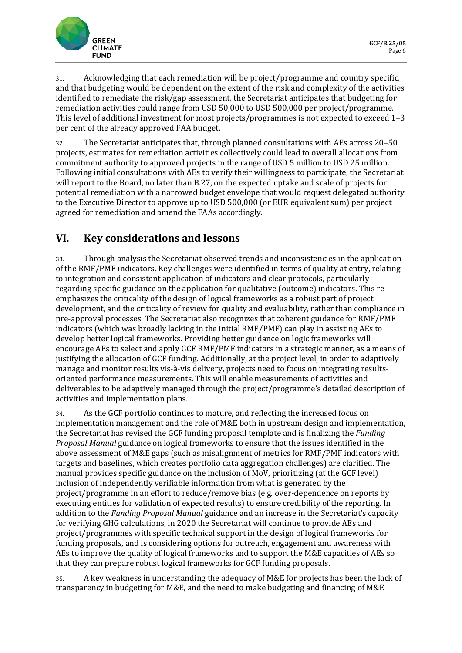

31. Acknowledging that each remediation will be project/programme and country specific, and that budgeting would be dependent on the extent of the risk and complexity of the activities identified to remediate the risk/gap assessment, the Secretariat anticipates that budgeting for remediation activities could range from USD 50,000 to USD 500,000 per project/programme. This level of additional investment for most projects/programmes is not expected to exceed 1–3 per cent of the already approved FAA budget.

32. The Secretariat anticipates that, through planned consultations with AEs across 20–50 projects, estimates for remediation activities collectively could lead to overall allocations from commitment authority to approved projects in the range of USD 5 million to USD 25 million. Following initial consultations with AEs to verify their willingness to participate, the Secretariat will report to the Board, no later than B.27, on the expected uptake and scale of projects for potential remediation with a narrowed budget envelope that would request delegated authority to the Executive Director to approve up to USD 500,000 (or EUR equivalent sum) per project agreed for remediation and amend the FAAs accordingly.

#### **VI. Key considerations and lessons**

33. Through analysis the Secretariat observed trends and inconsistencies in the application of the RMF/PMF indicators. Key challenges were identified in terms of quality at entry, relating to integration and consistent application of indicators and clear protocols, particularly regarding specific guidance on the application for qualitative (outcome) indicators. This reemphasizes the criticality of the design of logical frameworks as a robust part of project development, and the criticality of review for quality and evaluability, rather than compliance in pre-approval processes. The Secretariat also recognizes that coherent guidance for RMF/PMF indicators (which was broadly lacking in the initial RMF/PMF) can play in assisting AEs to develop better logical frameworks. Providing better guidance on logic frameworks will encourage AEs to select and apply GCF RMF/PMF indicators in a strategic manner, as a means of justifying the allocation of GCF funding. Additionally, at the project level, in order to adaptively manage and monitor results vis-à-vis delivery, projects need to focus on integrating resultsoriented performance measurements. This will enable measurements of activities and deliverables to be adaptively managed through the project/programme's detailed description of activities and implementation plans.

34. As the GCF portfolio continues to mature, and reflecting the increased focus on implementation management and the role of M&E both in upstream design and implementation, the Secretariat has revised the GCF funding proposal template and is finalizing the *Funding Proposal Manual* guidance on logical frameworks to ensure that the issues identified in the above assessment of M&E gaps (such as misalignment of metrics for RMF/PMF indicators with targets and baselines, which creates portfolio data aggregation challenges) are clarified. The manual provides specific guidance on the inclusion of MoV, prioritizing (at the GCF level) inclusion of independently verifiable information from what is generated by the project/programme in an effort to reduce/remove bias (e.g. over-dependence on reports by executing entities for validation of expected results) to ensure credibility of the reporting. In addition to the *Funding Proposal Manual* guidance and an increase in the Secretariat's capacity for verifying GHG calculations, in 2020 the Secretariat will continue to provide AEs and project/programmes with specific technical support in the design of logical frameworks for funding proposals, and is considering options for outreach, engagement and awareness with AEs to improve the quality of logical frameworks and to support the M&E capacities of AEs so that they can prepare robust logical frameworks for GCF funding proposals.

35. A key weakness in understanding the adequacy of M&E for projects has been the lack of transparency in budgeting for M&E, and the need to make budgeting and financing of M&E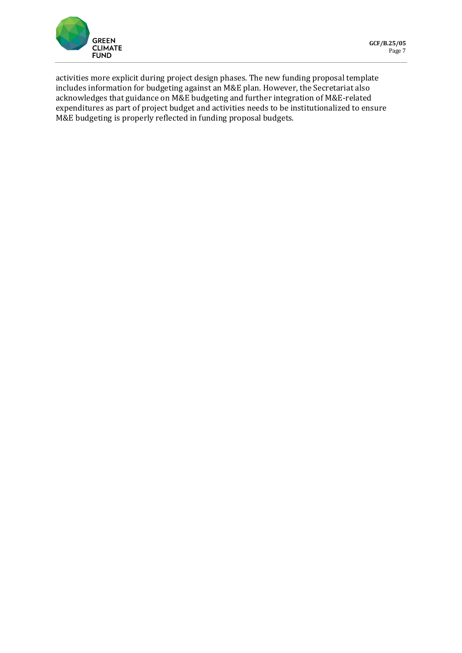

activities more explicit during project design phases. The new funding proposal template includes information for budgeting against an M&E plan. However, the Secretariat also acknowledges that guidance on M&E budgeting and further integration of M&E-related expenditures as part of project budget and activities needs to be institutionalized to ensure M&E budgeting is properly reflected in funding proposal budgets.